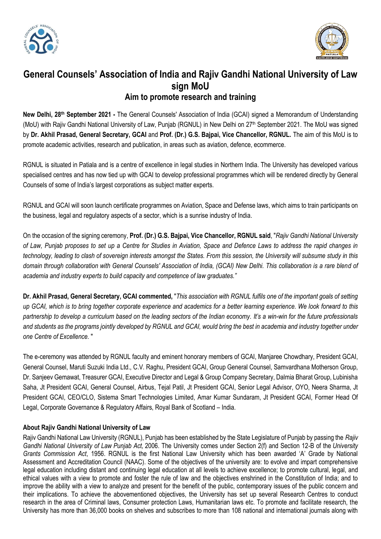



## **General Counsels' Association of India and Rajiv Gandhi National University of Law sign MoU Aim to promote research and training**

New Delhi, 28<sup>th</sup> September 2021 - The General Counsels' Association of India (GCAI) signed a Memorandum of Understanding (MoU) with Rajiv Gandhi National University of Law, Punjab (RGNUL) in New Delhi on 27<sup>th</sup> September 2021. The MoU was signed by **Dr. Akhil Prasad, General Secretary, GCAI** and **Prof. (Dr.) G.S. Bajpai, Vice Chancellor, RGNUL.** The aim of this MoU is to promote academic activities, research and publication, in areas such as aviation, defence, ecommerce.

RGNUL is situated in Patiala and is a centre of excellence in legal studies in Northern India. The University has developed various specialised centres and has now tied up with GCAI to develop professional programmes which will be rendered directly by General Counsels of some of India's largest corporations as subject matter experts.

RGNUL and GCAI will soon launch certificate programmes on Aviation, Space and Defense laws, which aims to train participants on the business, legal and regulatory aspects of a sector, which is a sunrise industry of India.

On the occasion of the signing ceremony, **Prof. (Dr.) G.S. Bajpai, Vice Chancellor, RGNUL said**, "*Rajiv Gandhi National University of Law, Punjab proposes to set up a Centre for Studies in Aviation, Space and Defence Laws to address the rapid changes in technology, leading to clash of sovereign interests amongst the States. From this session, the University will subsume study in this domain through collaboration with General Counsels' Association of India, (GCAI) New Delhi. This collaboration is a rare blend of academia and industry experts to build capacity and competence of law graduates."*

**Dr. Akhil Prasad, General Secretary, GCAI commented,** "*This association with RGNUL fulfils one of the important goals of setting up GCAI, which is to bring together corporate experience and academics for a better learning experience. We look forward to this partnership to develop a curriculum based on the leading sectors of the Indian economy. It's a win-win for the future professionals*  and students as the programs jointly developed by RGNUL and GCAI, would bring the best in academia and industry together under *one Centre of Excellence.* "

The e-ceremony was attended by RGNUL faculty and eminent honorary members of GCAI, Manjaree Chowdhary, President GCAI, General Counsel, Maruti Suzuki India Ltd., C.V. Raghu, President GCAI, Group General Counsel, Samvardhana Motherson Group, Dr. Sanjeev Gemawat, Treasurer GCAI, Executive Director and Legal & Group Company Secretary, Dalmia Bharat Group, Lubinisha Saha, Jt President GCAI, General Counsel, Airbus, Tejal Patil, Jt President GCAI, Senior Legal Advisor, OYO, Neera Sharma, Jt President GCAI, CEO/CLO, Sistema Smart Technologies Limited, Amar Kumar Sundaram, Jt President GCAI, Former Head Of Legal, Corporate Governance & Regulatory Affairs, Royal Bank of Scotland – India.

## **About Rajiv Gandhi National University of Law**

Rajiv Gandhi National Law University (RGNUL), Punjab has been established by the State Legislature of Punjab by passing the *Rajiv Gandhi National University of Law Punjab Act,* 2006. The University comes under Section 2(f) and Section 12-B of the *University Grants Commission Act*, 1956. RGNUL is the first National Law University which has been awarded 'A' Grade by National Assessment and Accreditation Council (NAAC). Some of the objectives of the university are: to evolve and impart comprehensive legal education including distant and continuing legal education at all levels to achieve excellence; to promote cultural, legal, and ethical values with a view to promote and foster the rule of law and the objectives enshrined in the Constitution of India; and to improve the ability with a view to analyze and present for the benefit of the public, contemporary issues of the public concern and their implications. To achieve the abovementioned objectives, the University has set up several Research Centres to conduct research in the area of Criminal laws, Consumer protection Laws, Humanitarian laws etc. To promote and facilitate research, the University has more than 36,000 books on shelves and subscribes to more than 108 national and international journals along with